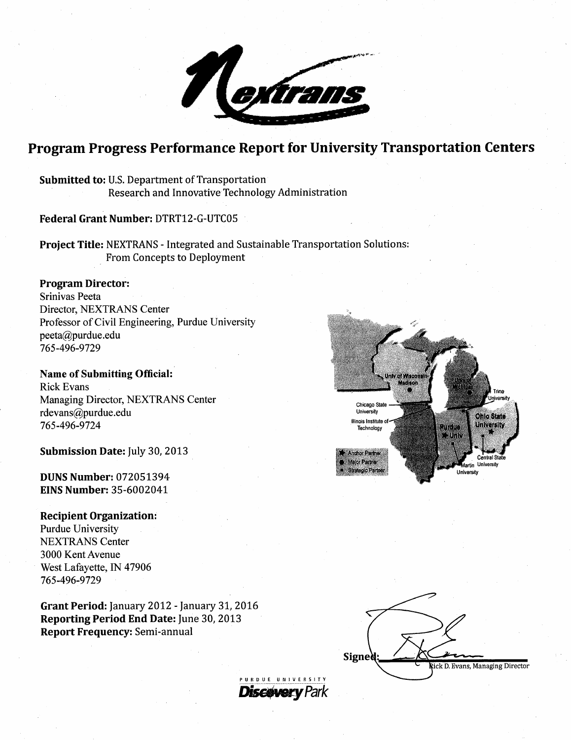

# **Program Progress Performance Report for University Transportation Centers**

**Submitted to: U.S. Department of Transportation** Research and Innovative Technology Administration

Federal Grant Number: DTRT12-G-UTC05

Project Title: NEXTRANS - Integrated and Sustainable Transportation Solutions: **From Concepts to Deployment** 

#### **Program Director:**

Srinivas Peeta Director, NEXTRANS Center Professor of Civil Engineering, Purdue University peeta@purdue.edu 765-496-9729

**Name of Submitting Official: Rick Evans** Managing Director, NEXTRANS Center rdevans@purdue.edu 765-496-9724

Submission Date: July 30, 2013

**DUNS Number: 072051394 EINS Number: 35-6002041** 

#### **Recipient Organization:**

**Purdue University NEXTRANS Center** 3000 Kent Avenue West Lafayette, IN 47906 765-496-9729

Grant Period: January 2012 - January 31, 2016 Reporting Period End Date: June 30, 2013 **Report Frequency: Semi-annual** 





**Discovery** Park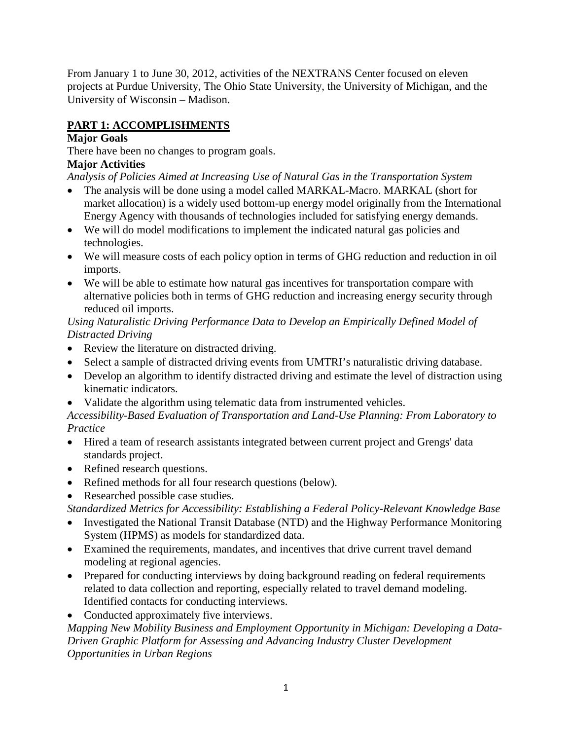From January 1 to June 30, 2012, activities of the NEXTRANS Center focused on eleven projects at Purdue University, The Ohio State University, the University of Michigan, and the University of Wisconsin – Madison.

## **PART 1: ACCOMPLISHMENTS**

### **Major Goals**

There have been no changes to program goals.

### **Major Activities**

*Analysis of Policies Aimed at Increasing Use of Natural Gas in the Transportation System*

- The analysis will be done using a model called MARKAL-Macro. MARKAL (short for market allocation) is a widely used bottom-up energy model originally from the International Energy Agency with thousands of technologies included for satisfying energy demands.
- We will do model modifications to implement the indicated natural gas policies and technologies.
- We will measure costs of each policy option in terms of GHG reduction and reduction in oil imports.
- We will be able to estimate how natural gas incentives for transportation compare with alternative policies both in terms of GHG reduction and increasing energy security through reduced oil imports.

### *Using Naturalistic Driving Performance Data to Develop an Empirically Defined Model of Distracted Driving*

- Review the literature on distracted driving.
- Select a sample of distracted driving events from UMTRI's naturalistic driving database.
- Develop an algorithm to identify distracted driving and estimate the level of distraction using kinematic indicators.
- Validate the algorithm using telematic data from instrumented vehicles.

*Accessibility-Based Evaluation of Transportation and Land-Use Planning: From Laboratory to Practice*

- Hired a team of research assistants integrated between current project and Grengs' data standards project.
- Refined research questions.
- Refined methods for all four research questions (below).
- Researched possible case studies.

*Standardized Metrics for Accessibility: Establishing a Federal Policy-Relevant Knowledge Base*

- Investigated the National Transit Database (NTD) and the Highway Performance Monitoring System (HPMS) as models for standardized data.
- Examined the requirements, mandates, and incentives that drive current travel demand modeling at regional agencies.
- Prepared for conducting interviews by doing background reading on federal requirements related to data collection and reporting, especially related to travel demand modeling. Identified contacts for conducting interviews.
- Conducted approximately five interviews.

*Mapping New Mobility Business and Employment Opportunity in Michigan: Developing a Data-Driven Graphic Platform for Assessing and Advancing Industry Cluster Development Opportunities in Urban Regions*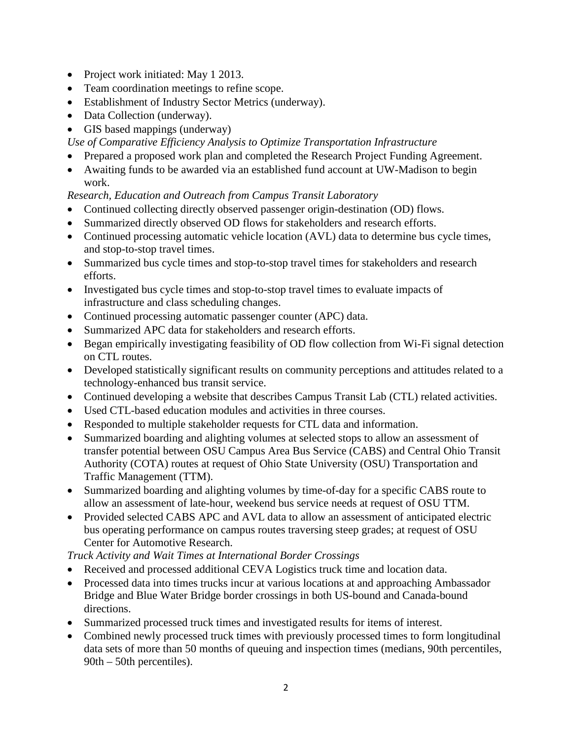- Project work initiated: May 1 2013.
- Team coordination meetings to refine scope.
- Establishment of Industry Sector Metrics (underway).
- Data Collection (underway).
- GIS based mappings (underway)

*Use of Comparative Efficiency Analysis to Optimize Transportation Infrastructure*

- Prepared a proposed work plan and completed the Research Project Funding Agreement.
- Awaiting funds to be awarded via an established fund account at UW-Madison to begin work.

*Research, Education and Outreach from Campus Transit Laboratory*

- Continued collecting directly observed passenger origin-destination (OD) flows.
- Summarized directly observed OD flows for stakeholders and research efforts.
- Continued processing automatic vehicle location (AVL) data to determine bus cycle times, and stop-to-stop travel times.
- Summarized bus cycle times and stop-to-stop travel times for stakeholders and research efforts.
- Investigated bus cycle times and stop-to-stop travel times to evaluate impacts of infrastructure and class scheduling changes.
- Continued processing automatic passenger counter (APC) data.
- Summarized APC data for stakeholders and research efforts.
- Began empirically investigating feasibility of OD flow collection from Wi-Fi signal detection on CTL routes.
- Developed statistically significant results on community perceptions and attitudes related to a technology-enhanced bus transit service.
- Continued developing a website that describes Campus Transit Lab (CTL) related activities.
- Used CTL-based education modules and activities in three courses.
- Responded to multiple stakeholder requests for CTL data and information.
- Summarized boarding and alighting volumes at selected stops to allow an assessment of transfer potential between OSU Campus Area Bus Service (CABS) and Central Ohio Transit Authority (COTA) routes at request of Ohio State University (OSU) Transportation and Traffic Management (TTM).
- Summarized boarding and alighting volumes by time-of-day for a specific CABS route to allow an assessment of late-hour, weekend bus service needs at request of OSU TTM.
- Provided selected CABS APC and AVL data to allow an assessment of anticipated electric bus operating performance on campus routes traversing steep grades; at request of OSU Center for Automotive Research.

*Truck Activity and Wait Times at International Border Crossings*

- Received and processed additional CEVA Logistics truck time and location data.
- Processed data into times trucks incur at various locations at and approaching Ambassador Bridge and Blue Water Bridge border crossings in both US-bound and Canada-bound directions.
- Summarized processed truck times and investigated results for items of interest.
- Combined newly processed truck times with previously processed times to form longitudinal data sets of more than 50 months of queuing and inspection times (medians, 90th percentiles, 90th – 50th percentiles).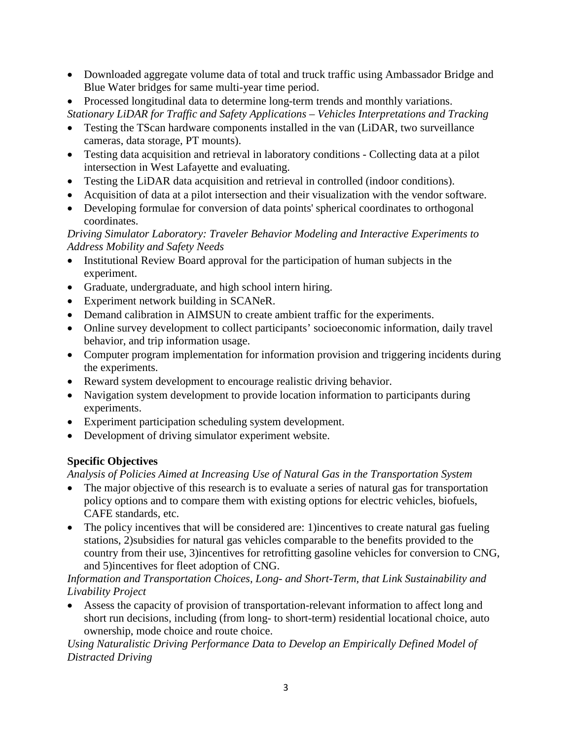- Downloaded aggregate volume data of total and truck traffic using Ambassador Bridge and Blue Water bridges for same multi-year time period.
- Processed longitudinal data to determine long-term trends and monthly variations.

*Stationary LiDAR for Traffic and Safety Applications – Vehicles Interpretations and Tracking*

- Testing the TScan hardware components installed in the van (LiDAR, two surveillance cameras, data storage, PT mounts).
- Testing data acquisition and retrieval in laboratory conditions Collecting data at a pilot intersection in West Lafayette and evaluating.
- Testing the LiDAR data acquisition and retrieval in controlled (indoor conditions).
- Acquisition of data at a pilot intersection and their visualization with the vendor software.
- Developing formulae for conversion of data points' spherical coordinates to orthogonal coordinates.

*Driving Simulator Laboratory: Traveler Behavior Modeling and Interactive Experiments to Address Mobility and Safety Needs*

- Institutional Review Board approval for the participation of human subjects in the experiment.
- Graduate, undergraduate, and high school intern hiring.
- Experiment network building in SCANeR.
- Demand calibration in AIMSUN to create ambient traffic for the experiments.
- Online survey development to collect participants' socioeconomic information, daily travel behavior, and trip information usage.
- Computer program implementation for information provision and triggering incidents during the experiments.
- Reward system development to encourage realistic driving behavior.
- Navigation system development to provide location information to participants during experiments.
- Experiment participation scheduling system development.
- Development of driving simulator experiment website.

## **Specific Objectives**

*Analysis of Policies Aimed at Increasing Use of Natural Gas in the Transportation System*

- The major objective of this research is to evaluate a series of natural gas for transportation policy options and to compare them with existing options for electric vehicles, biofuels, CAFE standards, etc.
- The policy incentives that will be considered are: 1) incentives to create natural gas fueling stations, 2)subsidies for natural gas vehicles comparable to the benefits provided to the country from their use, 3)incentives for retrofitting gasoline vehicles for conversion to CNG, and 5)incentives for fleet adoption of CNG.

*Information and Transportation Choices, Long- and Short-Term, that Link Sustainability and Livability Project*

• Assess the capacity of provision of transportation-relevant information to affect long and short run decisions, including (from long- to short-term) residential locational choice, auto ownership, mode choice and route choice.

*Using Naturalistic Driving Performance Data to Develop an Empirically Defined Model of Distracted Driving*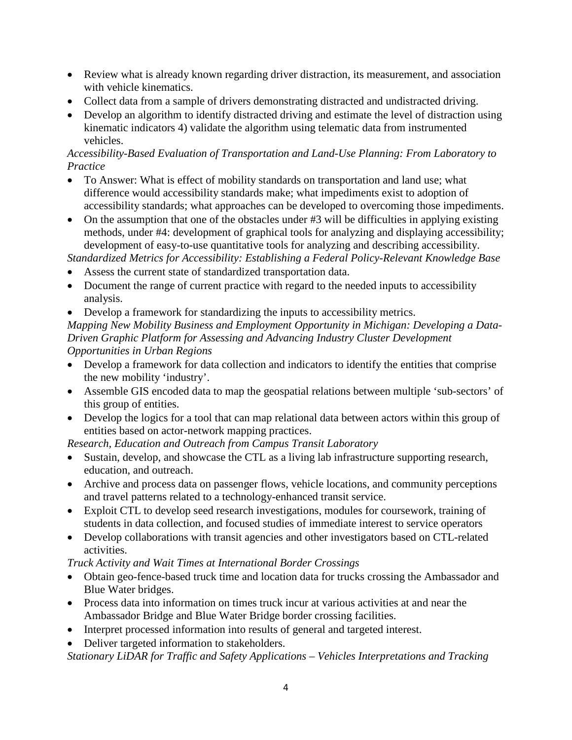- Review what is already known regarding driver distraction, its measurement, and association with vehicle kinematics.
- Collect data from a sample of drivers demonstrating distracted and undistracted driving.
- Develop an algorithm to identify distracted driving and estimate the level of distraction using kinematic indicators 4) validate the algorithm using telematic data from instrumented vehicles.

### *Accessibility-Based Evaluation of Transportation and Land-Use Planning: From Laboratory to Practice*

- To Answer: What is effect of mobility standards on transportation and land use; what difference would accessibility standards make; what impediments exist to adoption of accessibility standards; what approaches can be developed to overcoming those impediments.
- On the assumption that one of the obstacles under #3 will be difficulties in applying existing methods, under #4: development of graphical tools for analyzing and displaying accessibility; development of easy-to-use quantitative tools for analyzing and describing accessibility.

*Standardized Metrics for Accessibility: Establishing a Federal Policy-Relevant Knowledge Base*

- Assess the current state of standardized transportation data.
- Document the range of current practice with regard to the needed inputs to accessibility analysis.
- Develop a framework for standardizing the inputs to accessibility metrics.

### *Mapping New Mobility Business and Employment Opportunity in Michigan: Developing a Data-Driven Graphic Platform for Assessing and Advancing Industry Cluster Development Opportunities in Urban Regions*

- Develop a framework for data collection and indicators to identify the entities that comprise the new mobility 'industry'.
- Assemble GIS encoded data to map the geospatial relations between multiple 'sub-sectors' of this group of entities.
- Develop the logics for a tool that can map relational data between actors within this group of entities based on actor-network mapping practices.

*Research, Education and Outreach from Campus Transit Laboratory* 

- Sustain, develop, and showcase the CTL as a living lab infrastructure supporting research, education, and outreach.
- Archive and process data on passenger flows, vehicle locations, and community perceptions and travel patterns related to a technology-enhanced transit service.
- Exploit CTL to develop seed research investigations, modules for coursework, training of students in data collection, and focused studies of immediate interest to service operators
- Develop collaborations with transit agencies and other investigators based on CTL-related activities.

*Truck Activity and Wait Times at International Border Crossings*

- Obtain geo-fence-based truck time and location data for trucks crossing the Ambassador and Blue Water bridges.
- Process data into information on times truck incur at various activities at and near the Ambassador Bridge and Blue Water Bridge border crossing facilities.
- Interpret processed information into results of general and targeted interest.

• Deliver targeted information to stakeholders.

*Stationary LiDAR for Traffic and Safety Applications – Vehicles Interpretations and Tracking*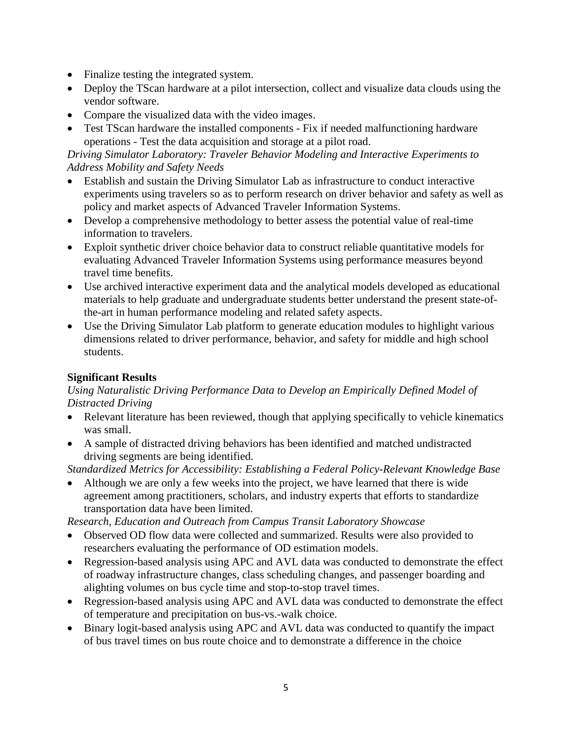- Finalize testing the integrated system.
- Deploy the TScan hardware at a pilot intersection, collect and visualize data clouds using the vendor software.
- Compare the visualized data with the video images.
- Test TScan hardware the installed components Fix if needed malfunctioning hardware operations - Test the data acquisition and storage at a pilot road.

*Driving Simulator Laboratory: Traveler Behavior Modeling and Interactive Experiments to Address Mobility and Safety Needs*

- Establish and sustain the Driving Simulator Lab as infrastructure to conduct interactive experiments using travelers so as to perform research on driver behavior and safety as well as policy and market aspects of Advanced Traveler Information Systems.
- Develop a comprehensive methodology to better assess the potential value of real-time information to travelers.
- Exploit synthetic driver choice behavior data to construct reliable quantitative models for evaluating Advanced Traveler Information Systems using performance measures beyond travel time benefits.
- Use archived interactive experiment data and the analytical models developed as educational materials to help graduate and undergraduate students better understand the present state-ofthe-art in human performance modeling and related safety aspects.
- Use the Driving Simulator Lab platform to generate education modules to highlight various dimensions related to driver performance, behavior, and safety for middle and high school students.

### **Significant Results**

### *Using Naturalistic Driving Performance Data to Develop an Empirically Defined Model of Distracted Driving*

- Relevant literature has been reviewed, though that applying specifically to vehicle kinematics was small.
- A sample of distracted driving behaviors has been identified and matched undistracted driving segments are being identified.

*Standardized Metrics for Accessibility: Establishing a Federal Policy-Relevant Knowledge Base*

• Although we are only a few weeks into the project, we have learned that there is wide agreement among practitioners, scholars, and industry experts that efforts to standardize transportation data have been limited.

*Research, Education and Outreach from Campus Transit Laboratory Showcase*

- Observed OD flow data were collected and summarized. Results were also provided to researchers evaluating the performance of OD estimation models.
- Regression-based analysis using APC and AVL data was conducted to demonstrate the effect of roadway infrastructure changes, class scheduling changes, and passenger boarding and alighting volumes on bus cycle time and stop-to-stop travel times.
- Regression-based analysis using APC and AVL data was conducted to demonstrate the effect of temperature and precipitation on bus-vs.-walk choice.
- Binary logit-based analysis using APC and AVL data was conducted to quantify the impact of bus travel times on bus route choice and to demonstrate a difference in the choice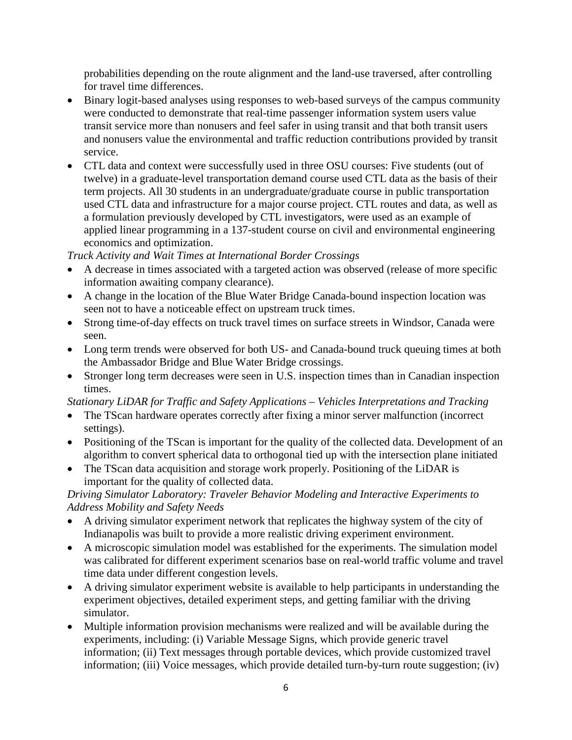probabilities depending on the route alignment and the land-use traversed, after controlling for travel time differences.

- Binary logit-based analyses using responses to web-based surveys of the campus community were conducted to demonstrate that real-time passenger information system users value transit service more than nonusers and feel safer in using transit and that both transit users and nonusers value the environmental and traffic reduction contributions provided by transit service.
- CTL data and context were successfully used in three OSU courses: Five students (out of twelve) in a graduate-level transportation demand course used CTL data as the basis of their term projects. All 30 students in an undergraduate/graduate course in public transportation used CTL data and infrastructure for a major course project. CTL routes and data, as well as a formulation previously developed by CTL investigators, were used as an example of applied linear programming in a 137-student course on civil and environmental engineering economics and optimization.

### *Truck Activity and Wait Times at International Border Crossings*

- A decrease in times associated with a targeted action was observed (release of more specific information awaiting company clearance).
- A change in the location of the Blue Water Bridge Canada-bound inspection location was seen not to have a noticeable effect on upstream truck times.
- Strong time-of-day effects on truck travel times on surface streets in Windsor, Canada were seen.
- Long term trends were observed for both US- and Canada-bound truck queuing times at both the Ambassador Bridge and Blue Water Bridge crossings.
- Stronger long term decreases were seen in U.S. inspection times than in Canadian inspection times.

#### *Stationary LiDAR for Traffic and Safety Applications – Vehicles Interpretations and Tracking*

- The TScan hardware operates correctly after fixing a minor server malfunction (incorrect settings).
- Positioning of the TScan is important for the quality of the collected data. Development of an algorithm to convert spherical data to orthogonal tied up with the intersection plane initiated
- The TScan data acquisition and storage work properly. Positioning of the LiDAR is important for the quality of collected data.

### *Driving Simulator Laboratory: Traveler Behavior Modeling and Interactive Experiments to Address Mobility and Safety Needs*

- A driving simulator experiment network that replicates the highway system of the city of Indianapolis was built to provide a more realistic driving experiment environment.
- A microscopic simulation model was established for the experiments. The simulation model was calibrated for different experiment scenarios base on real-world traffic volume and travel time data under different congestion levels.
- A driving simulator experiment website is available to help participants in understanding the experiment objectives, detailed experiment steps, and getting familiar with the driving simulator.
- Multiple information provision mechanisms were realized and will be available during the experiments, including: (i) Variable Message Signs, which provide generic travel information; (ii) Text messages through portable devices, which provide customized travel information; (iii) Voice messages, which provide detailed turn-by-turn route suggestion; (iv)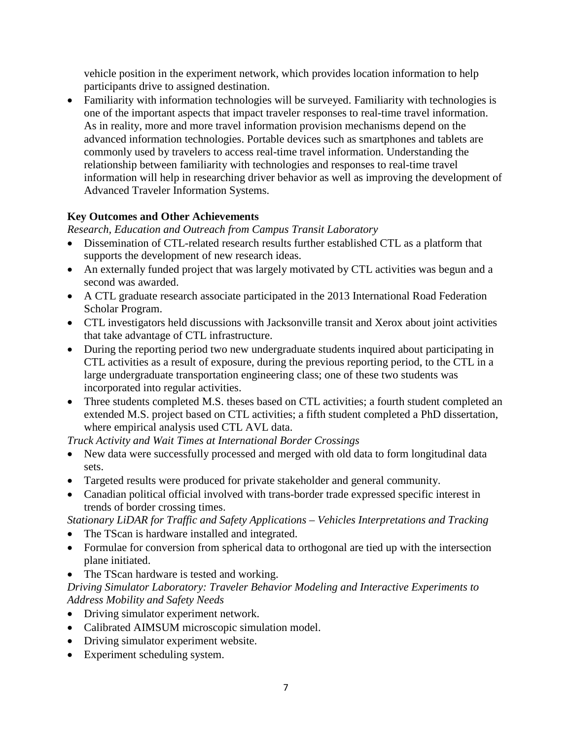vehicle position in the experiment network, which provides location information to help participants drive to assigned destination.

• Familiarity with information technologies will be surveyed. Familiarity with technologies is one of the important aspects that impact traveler responses to real-time travel information. As in reality, more and more travel information provision mechanisms depend on the advanced information technologies. Portable devices such as smartphones and tablets are commonly used by travelers to access real-time travel information. Understanding the relationship between familiarity with technologies and responses to real-time travel information will help in researching driver behavior as well as improving the development of Advanced Traveler Information Systems.

### **Key Outcomes and Other Achievements**

*Research, Education and Outreach from Campus Transit Laboratory* 

- Dissemination of CTL-related research results further established CTL as a platform that supports the development of new research ideas.
- An externally funded project that was largely motivated by CTL activities was begun and a second was awarded.
- A CTL graduate research associate participated in the 2013 International Road Federation Scholar Program.
- CTL investigators held discussions with Jacksonville transit and Xerox about joint activities that take advantage of CTL infrastructure.
- During the reporting period two new undergraduate students inquired about participating in CTL activities as a result of exposure, during the previous reporting period, to the CTL in a large undergraduate transportation engineering class; one of these two students was incorporated into regular activities.
- Three students completed M.S. theses based on CTL activities; a fourth student completed an extended M.S. project based on CTL activities; a fifth student completed a PhD dissertation, where empirical analysis used CTL AVL data.

*Truck Activity and Wait Times at International Border Crossings*

- New data were successfully processed and merged with old data to form longitudinal data sets.
- Targeted results were produced for private stakeholder and general community.
- Canadian political official involved with trans-border trade expressed specific interest in trends of border crossing times.

*Stationary LiDAR for Traffic and Safety Applications – Vehicles Interpretations and Tracking*

- The TScan is hardware installed and integrated.
- Formulae for conversion from spherical data to orthogonal are tied up with the intersection plane initiated.
- The TScan hardware is tested and working.

*Driving Simulator Laboratory: Traveler Behavior Modeling and Interactive Experiments to Address Mobility and Safety Needs*

- Driving simulator experiment network.
- Calibrated AIMSUM microscopic simulation model.
- Driving simulator experiment website.
- Experiment scheduling system.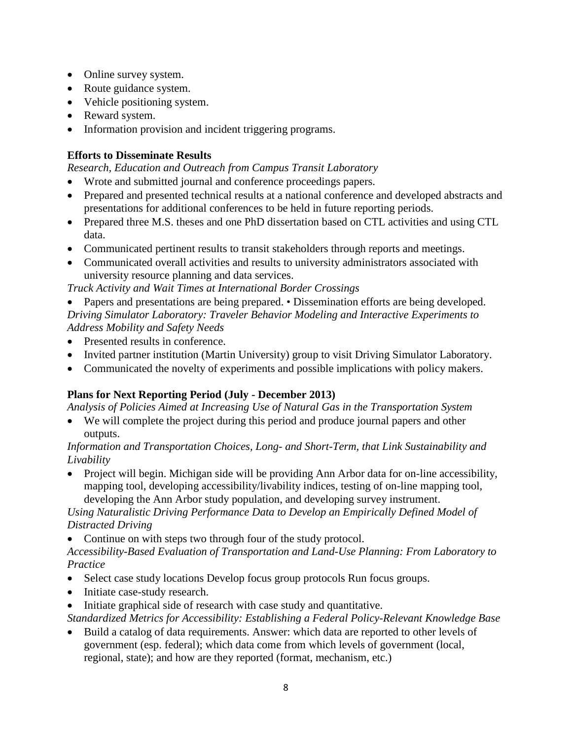- Online survey system.
- Route guidance system.
- Vehicle positioning system.
- Reward system.
- Information provision and incident triggering programs.

### **Efforts to Disseminate Results**

*Research, Education and Outreach from Campus Transit Laboratory* 

- Wrote and submitted journal and conference proceedings papers.
- Prepared and presented technical results at a national conference and developed abstracts and presentations for additional conferences to be held in future reporting periods.
- Prepared three M.S. theses and one PhD dissertation based on CTL activities and using CTL data.
- Communicated pertinent results to transit stakeholders through reports and meetings.
- Communicated overall activities and results to university administrators associated with university resource planning and data services.

*Truck Activity and Wait Times at International Border Crossings* 

• Papers and presentations are being prepared. • Dissemination efforts are being developed. *Driving Simulator Laboratory: Traveler Behavior Modeling and Interactive Experiments to Address Mobility and Safety Needs*

- Presented results in conference.
- Invited partner institution (Martin University) group to visit Driving Simulator Laboratory.
- Communicated the novelty of experiments and possible implications with policy makers.

## **Plans for Next Reporting Period (July - December 2013)**

*Analysis of Policies Aimed at Increasing Use of Natural Gas in the Transportation System*

• We will complete the project during this period and produce journal papers and other outputs.

### *Information and Transportation Choices, Long- and Short-Term, that Link Sustainability and Livability*

• Project will begin. Michigan side will be providing Ann Arbor data for on-line accessibility, mapping tool, developing accessibility/livability indices, testing of on-line mapping tool, developing the Ann Arbor study population, and developing survey instrument.

*Using Naturalistic Driving Performance Data to Develop an Empirically Defined Model of Distracted Driving*

• Continue on with steps two through four of the study protocol.

*Accessibility-Based Evaluation of Transportation and Land-Use Planning: From Laboratory to Practice* 

- Select case study locations Develop focus group protocols Run focus groups.
- Initiate case-study research.
- Initiate graphical side of research with case study and quantitative.

*Standardized Metrics for Accessibility: Establishing a Federal Policy-Relevant Knowledge Base*

• Build a catalog of data requirements. Answer: which data are reported to other levels of government (esp. federal); which data come from which levels of government (local, regional, state); and how are they reported (format, mechanism, etc.)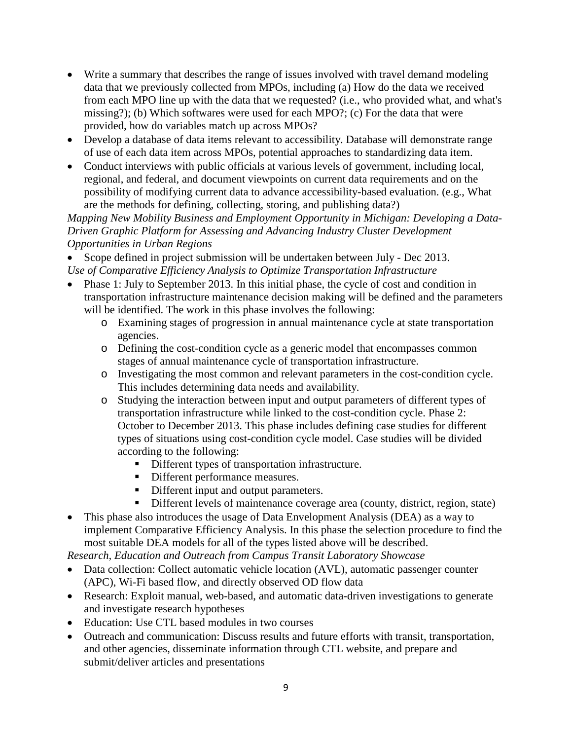- Write a summary that describes the range of issues involved with travel demand modeling data that we previously collected from MPOs, including (a) How do the data we received from each MPO line up with the data that we requested? (i.e., who provided what, and what's missing?); (b) Which softwares were used for each MPO?; (c) For the data that were provided, how do variables match up across MPOs?
- Develop a database of data items relevant to accessibility. Database will demonstrate range of use of each data item across MPOs, potential approaches to standardizing data item.
- Conduct interviews with public officials at various levels of government, including local, regional, and federal, and document viewpoints on current data requirements and on the possibility of modifying current data to advance accessibility-based evaluation. (e.g., What are the methods for defining, collecting, storing, and publishing data?)

*Mapping New Mobility Business and Employment Opportunity in Michigan: Developing a Data-Driven Graphic Platform for Assessing and Advancing Industry Cluster Development Opportunities in Urban Regions*

- Scope defined in project submission will be undertaken between July Dec 2013. *Use of Comparative Efficiency Analysis to Optimize Transportation Infrastructure*
- Phase 1: July to September 2013. In this initial phase, the cycle of cost and condition in transportation infrastructure maintenance decision making will be defined and the parameters will be identified. The work in this phase involves the following:
	- o Examining stages of progression in annual maintenance cycle at state transportation agencies.
	- o Defining the cost-condition cycle as a generic model that encompasses common stages of annual maintenance cycle of transportation infrastructure.
	- o Investigating the most common and relevant parameters in the cost-condition cycle. This includes determining data needs and availability.
	- o Studying the interaction between input and output parameters of different types of transportation infrastructure while linked to the cost-condition cycle. Phase 2: October to December 2013. This phase includes defining case studies for different types of situations using cost-condition cycle model. Case studies will be divided according to the following:
		- Different types of transportation infrastructure.
		- Different performance measures.
		- Different input and output parameters.
		- Different levels of maintenance coverage area (county, district, region, state)
- This phase also introduces the usage of Data Envelopment Analysis (DEA) as a way to implement Comparative Efficiency Analysis. In this phase the selection procedure to find the most suitable DEA models for all of the types listed above will be described.

*Research, Education and Outreach from Campus Transit Laboratory Showcase*

- Data collection: Collect automatic vehicle location (AVL), automatic passenger counter (APC), Wi-Fi based flow, and directly observed OD flow data
- Research: Exploit manual, web-based, and automatic data-driven investigations to generate and investigate research hypotheses
- Education: Use CTL based modules in two courses
- Outreach and communication: Discuss results and future efforts with transit, transportation, and other agencies, disseminate information through CTL website, and prepare and submit/deliver articles and presentations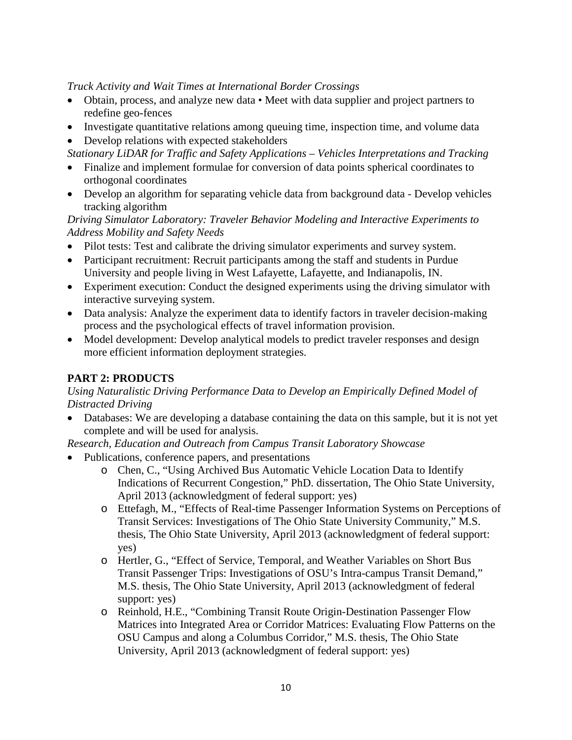*Truck Activity and Wait Times at International Border Crossings*

- Obtain, process, and analyze new data Meet with data supplier and project partners to redefine geo-fences
- Investigate quantitative relations among queuing time, inspection time, and volume data
- Develop relations with expected stakeholders
- *Stationary LiDAR for Traffic and Safety Applications – Vehicles Interpretations and Tracking*
- Finalize and implement formulae for conversion of data points spherical coordinates to orthogonal coordinates
- Develop an algorithm for separating vehicle data from background data Develop vehicles tracking algorithm

*Driving Simulator Laboratory: Traveler Behavior Modeling and Interactive Experiments to Address Mobility and Safety Needs*

- Pilot tests: Test and calibrate the driving simulator experiments and survey system.
- Participant recruitment: Recruit participants among the staff and students in Purdue University and people living in West Lafayette, Lafayette, and Indianapolis, IN.
- Experiment execution: Conduct the designed experiments using the driving simulator with interactive surveying system.
- Data analysis: Analyze the experiment data to identify factors in traveler decision-making process and the psychological effects of travel information provision.
- Model development: Develop analytical models to predict traveler responses and design more efficient information deployment strategies.

## **PART 2: PRODUCTS**

*Using Naturalistic Driving Performance Data to Develop an Empirically Defined Model of Distracted Driving*

• Databases: We are developing a database containing the data on this sample, but it is not yet complete and will be used for analysis.

*Research, Education and Outreach from Campus Transit Laboratory Showcase*

- Publications, conference papers, and presentations
	- o Chen, C., "Using Archived Bus Automatic Vehicle Location Data to Identify Indications of Recurrent Congestion," PhD. dissertation, The Ohio State University, April 2013 (acknowledgment of federal support: yes)
	- o Ettefagh, M., "Effects of Real-time Passenger Information Systems on Perceptions of Transit Services: Investigations of The Ohio State University Community," M.S. thesis, The Ohio State University, April 2013 (acknowledgment of federal support: yes)
	- o Hertler, G., "Effect of Service, Temporal, and Weather Variables on Short Bus Transit Passenger Trips: Investigations of OSU's Intra-campus Transit Demand," M.S. thesis, The Ohio State University, April 2013 (acknowledgment of federal support: yes)
	- o Reinhold, H.E., "Combining Transit Route Origin-Destination Passenger Flow Matrices into Integrated Area or Corridor Matrices: Evaluating Flow Patterns on the OSU Campus and along a Columbus Corridor," M.S. thesis, The Ohio State University, April 2013 (acknowledgment of federal support: yes)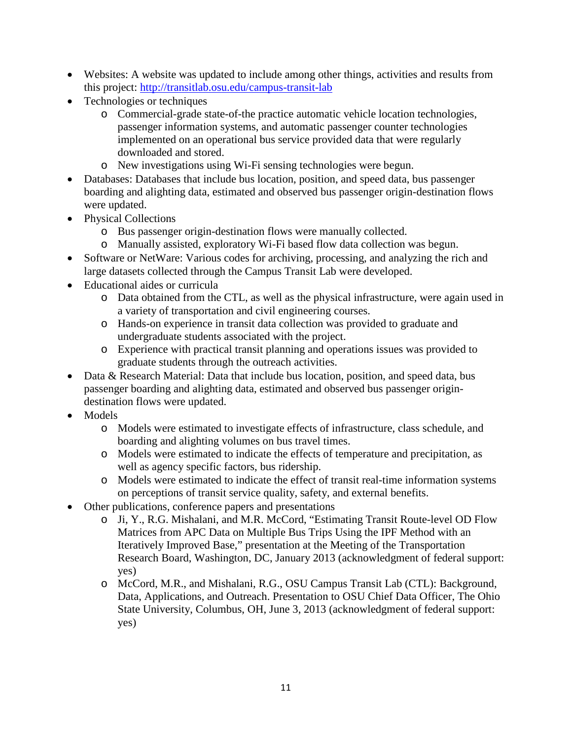- Websites: A website was updated to include among other things, activities and results from this project:<http://transitlab.osu.edu/campus-transit-lab>
- Technologies or techniques
	- o Commercial-grade state-of-the practice automatic vehicle location technologies, passenger information systems, and automatic passenger counter technologies implemented on an operational bus service provided data that were regularly downloaded and stored.
	- o New investigations using Wi-Fi sensing technologies were begun.
- Databases: Databases that include bus location, position, and speed data, bus passenger boarding and alighting data, estimated and observed bus passenger origin-destination flows were updated.
- Physical Collections
	- o Bus passenger origin-destination flows were manually collected.
	- o Manually assisted, exploratory Wi-Fi based flow data collection was begun.
- Software or NetWare: Various codes for archiving, processing, and analyzing the rich and large datasets collected through the Campus Transit Lab were developed.
- Educational aides or curricula
	- o Data obtained from the CTL, as well as the physical infrastructure, were again used in a variety of transportation and civil engineering courses.
	- o Hands-on experience in transit data collection was provided to graduate and undergraduate students associated with the project.
	- o Experience with practical transit planning and operations issues was provided to graduate students through the outreach activities.
- Data & Research Material: Data that include bus location, position, and speed data, bus passenger boarding and alighting data, estimated and observed bus passenger origindestination flows were updated.
- Models
	- o Models were estimated to investigate effects of infrastructure, class schedule, and boarding and alighting volumes on bus travel times.
	- o Models were estimated to indicate the effects of temperature and precipitation, as well as agency specific factors, bus ridership.
	- o Models were estimated to indicate the effect of transit real-time information systems on perceptions of transit service quality, safety, and external benefits.
- Other publications, conference papers and presentations
	- o Ji, Y., R.G. Mishalani, and M.R. McCord, "Estimating Transit Route-level OD Flow Matrices from APC Data on Multiple Bus Trips Using the IPF Method with an Iteratively Improved Base," presentation at the Meeting of the Transportation Research Board, Washington, DC, January 2013 (acknowledgment of federal support: yes)
	- o McCord, M.R., and Mishalani, R.G., OSU Campus Transit Lab (CTL): Background, Data, Applications, and Outreach. Presentation to OSU Chief Data Officer, The Ohio State University, Columbus, OH, June 3, 2013 (acknowledgment of federal support: yes)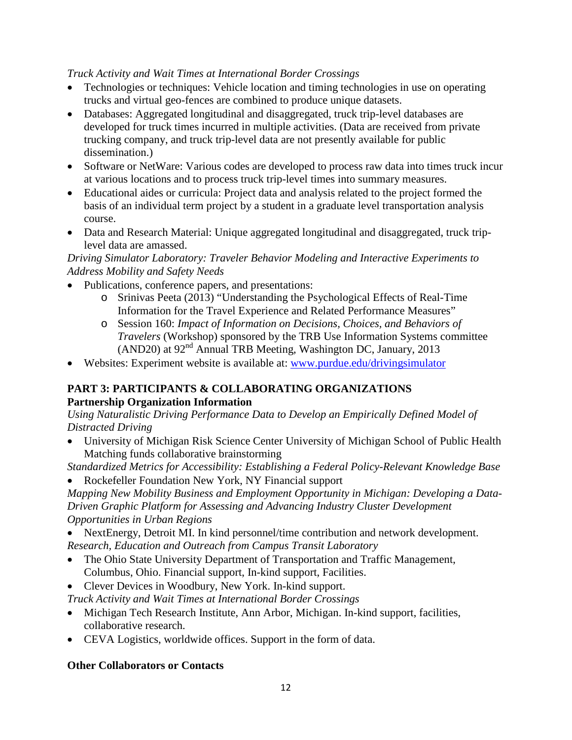#### *Truck Activity and Wait Times at International Border Crossings*

- Technologies or techniques: Vehicle location and timing technologies in use on operating trucks and virtual geo-fences are combined to produce unique datasets.
- Databases: Aggregated longitudinal and disaggregated, truck trip-level databases are developed for truck times incurred in multiple activities. (Data are received from private trucking company, and truck trip-level data are not presently available for public dissemination.)
- Software or NetWare: Various codes are developed to process raw data into times truck incur at various locations and to process truck trip-level times into summary measures.
- Educational aides or curricula: Project data and analysis related to the project formed the basis of an individual term project by a student in a graduate level transportation analysis course.
- Data and Research Material: Unique aggregated longitudinal and disaggregated, truck triplevel data are amassed.

#### *Driving Simulator Laboratory: Traveler Behavior Modeling and Interactive Experiments to Address Mobility and Safety Needs*

- Publications, conference papers, and presentations:
	- o Srinivas Peeta (2013) "Understanding the Psychological Effects of Real-Time Information for the Travel Experience and Related Performance Measures"
	- o Session 160: *Impact of Information on Decisions, Choices, and Behaviors of Travelers* (Workshop) sponsored by the TRB Use Information Systems committee (AND20) at 92nd Annual TRB Meeting, Washington DC, January, 2013
- Websites: Experiment website is available at: [www.purdue.edu/drivingsimulator](http://www.purdue.edu/drivingsimulator)

### **PART 3: PARTICIPANTS & COLLABORATING ORGANIZATIONS**

#### **Partnership Organization Information**

*Using Naturalistic Driving Performance Data to Develop an Empirically Defined Model of Distracted Driving*

• University of Michigan Risk Science Center University of Michigan School of Public Health Matching funds collaborative brainstorming

*Standardized Metrics for Accessibility: Establishing a Federal Policy-Relevant Knowledge Base* • Rockefeller Foundation New York, NY Financial support

*Mapping New Mobility Business and Employment Opportunity in Michigan: Developing a Data-Driven Graphic Platform for Assessing and Advancing Industry Cluster Development Opportunities in Urban Regions*

- NextEnergy, Detroit MI. In kind personnel/time contribution and network development. *Research, Education and Outreach from Campus Transit Laboratory*
- The Ohio State University Department of Transportation and Traffic Management, Columbus, Ohio. Financial support, In-kind support, Facilities.
- Clever Devices in Woodbury, New York. In-kind support.

*Truck Activity and Wait Times at International Border Crossings* 

- Michigan Tech Research Institute, Ann Arbor, Michigan. In-kind support, facilities, collaborative research.
- CEVA Logistics, worldwide offices. Support in the form of data.

#### **Other Collaborators or Contacts**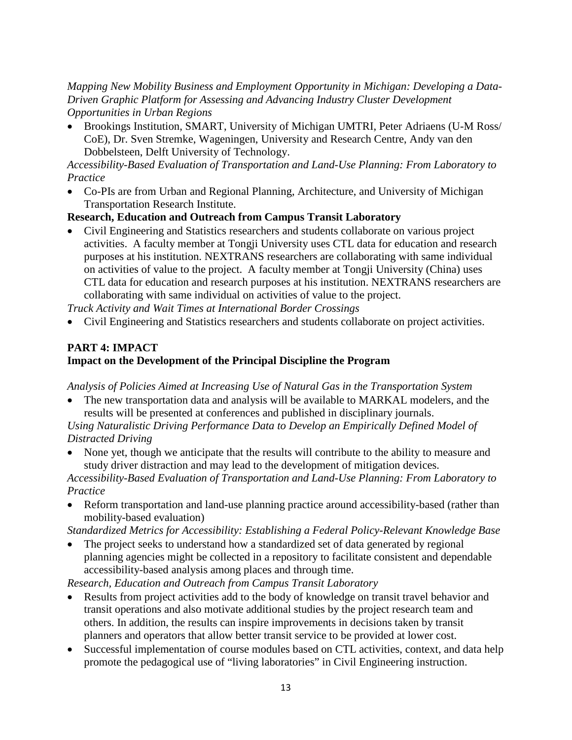*Mapping New Mobility Business and Employment Opportunity in Michigan: Developing a Data-Driven Graphic Platform for Assessing and Advancing Industry Cluster Development Opportunities in Urban Regions*

• Brookings Institution, SMART, University of Michigan UMTRI, Peter Adriaens (U-M Ross/ CoE), Dr. Sven Stremke, Wageningen, University and Research Centre, Andy van den Dobbelsteen, Delft University of Technology.

#### *Accessibility-Based Evaluation of Transportation and Land-Use Planning: From Laboratory to Practice*

• Co-PIs are from Urban and Regional Planning, Architecture, and University of Michigan Transportation Research Institute.

#### **Research, Education and Outreach from Campus Transit Laboratory**

• Civil Engineering and Statistics researchers and students collaborate on various project activities. A faculty member at Tongji University uses CTL data for education and research purposes at his institution. NEXTRANS researchers are collaborating with same individual on activities of value to the project. A faculty member at Tongji University (China) uses CTL data for education and research purposes at his institution. NEXTRANS researchers are collaborating with same individual on activities of value to the project.

*Truck Activity and Wait Times at International Border Crossings*

• Civil Engineering and Statistics researchers and students collaborate on project activities.

### **PART 4: IMPACT Impact on the Development of the Principal Discipline the Program**

*Analysis of Policies Aimed at Increasing Use of Natural Gas in the Transportation System*

• The new transportation data and analysis will be available to MARKAL modelers, and the results will be presented at conferences and published in disciplinary journals.

*Using Naturalistic Driving Performance Data to Develop an Empirically Defined Model of Distracted Driving*

• None yet, though we anticipate that the results will contribute to the ability to measure and study driver distraction and may lead to the development of mitigation devices.

*Accessibility-Based Evaluation of Transportation and Land-Use Planning: From Laboratory to Practice* 

• Reform transportation and land-use planning practice around accessibility-based (rather than mobility-based evaluation)

*Standardized Metrics for Accessibility: Establishing a Federal Policy-Relevant Knowledge Base*

The project seeks to understand how a standardized set of data generated by regional planning agencies might be collected in a repository to facilitate consistent and dependable accessibility-based analysis among places and through time.

*Research, Education and Outreach from Campus Transit Laboratory* 

- Results from project activities add to the body of knowledge on transit travel behavior and transit operations and also motivate additional studies by the project research team and others. In addition, the results can inspire improvements in decisions taken by transit planners and operators that allow better transit service to be provided at lower cost.
- Successful implementation of course modules based on CTL activities, context, and data help promote the pedagogical use of "living laboratories" in Civil Engineering instruction.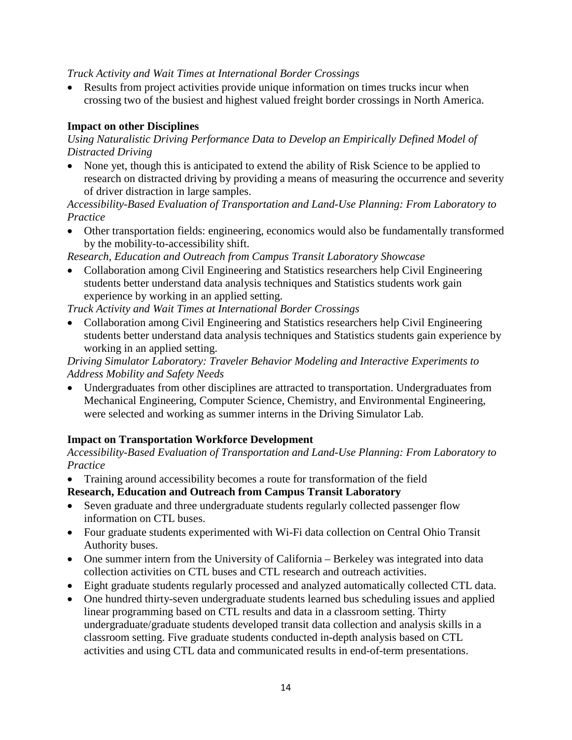*Truck Activity and Wait Times at International Border Crossings* 

• Results from project activities provide unique information on times trucks incur when crossing two of the busiest and highest valued freight border crossings in North America.

#### **Impact on other Disciplines**

*Using Naturalistic Driving Performance Data to Develop an Empirically Defined Model of Distracted Driving*

• None yet, though this is anticipated to extend the ability of Risk Science to be applied to research on distracted driving by providing a means of measuring the occurrence and severity of driver distraction in large samples.

*Accessibility-Based Evaluation of Transportation and Land-Use Planning: From Laboratory to Practice*

• Other transportation fields: engineering, economics would also be fundamentally transformed by the mobility-to-accessibility shift.

*Research, Education and Outreach from Campus Transit Laboratory Showcase*

• Collaboration among Civil Engineering and Statistics researchers help Civil Engineering students better understand data analysis techniques and Statistics students work gain experience by working in an applied setting.

*Truck Activity and Wait Times at International Border Crossings*

• Collaboration among Civil Engineering and Statistics researchers help Civil Engineering students better understand data analysis techniques and Statistics students gain experience by working in an applied setting.

*Driving Simulator Laboratory: Traveler Behavior Modeling and Interactive Experiments to Address Mobility and Safety Needs*

• Undergraduates from other disciplines are attracted to transportation. Undergraduates from Mechanical Engineering, Computer Science, Chemistry, and Environmental Engineering, were selected and working as summer interns in the Driving Simulator Lab.

### **Impact on Transportation Workforce Development**

*Accessibility-Based Evaluation of Transportation and Land-Use Planning: From Laboratory to Practice*

• Training around accessibility becomes a route for transformation of the field

#### **Research, Education and Outreach from Campus Transit Laboratory**

- Seven graduate and three undergraduate students regularly collected passenger flow information on CTL buses.
- Four graduate students experimented with Wi-Fi data collection on Central Ohio Transit Authority buses.
- One summer intern from the University of California Berkeley was integrated into data collection activities on CTL buses and CTL research and outreach activities.
- Eight graduate students regularly processed and analyzed automatically collected CTL data.
- One hundred thirty-seven undergraduate students learned bus scheduling issues and applied linear programming based on CTL results and data in a classroom setting. Thirty undergraduate/graduate students developed transit data collection and analysis skills in a classroom setting. Five graduate students conducted in-depth analysis based on CTL activities and using CTL data and communicated results in end-of-term presentations.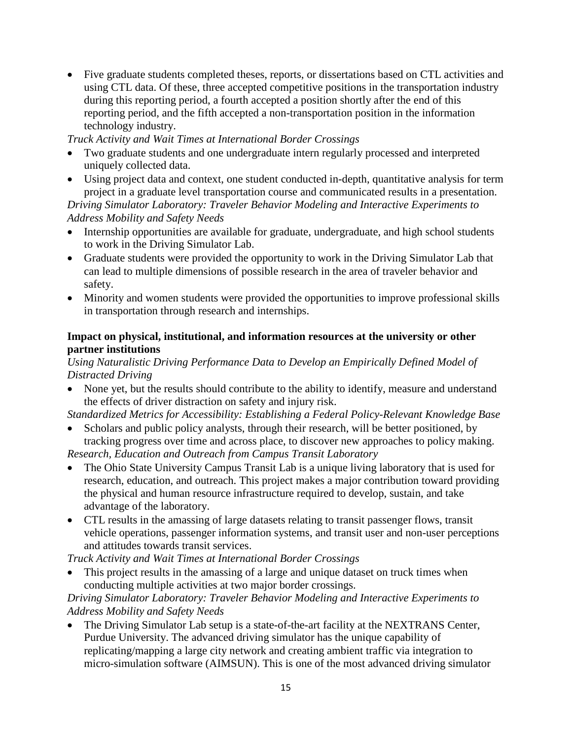• Five graduate students completed theses, reports, or dissertations based on CTL activities and using CTL data. Of these, three accepted competitive positions in the transportation industry during this reporting period, a fourth accepted a position shortly after the end of this reporting period, and the fifth accepted a non-transportation position in the information technology industry.

*Truck Activity and Wait Times at International Border Crossings* 

- Two graduate students and one undergraduate intern regularly processed and interpreted uniquely collected data.
- Using project data and context, one student conducted in-depth, quantitative analysis for term project in a graduate level transportation course and communicated results in a presentation.

*Driving Simulator Laboratory: Traveler Behavior Modeling and Interactive Experiments to Address Mobility and Safety Needs*

- Internship opportunities are available for graduate, undergraduate, and high school students to work in the Driving Simulator Lab.
- Graduate students were provided the opportunity to work in the Driving Simulator Lab that can lead to multiple dimensions of possible research in the area of traveler behavior and safety.
- Minority and women students were provided the opportunities to improve professional skills in transportation through research and internships.

#### **Impact on physical, institutional, and information resources at the university or other partner institutions**

*Using Naturalistic Driving Performance Data to Develop an Empirically Defined Model of Distracted Driving*

• None yet, but the results should contribute to the ability to identify, measure and understand the effects of driver distraction on safety and injury risk.

*Standardized Metrics for Accessibility: Establishing a Federal Policy-Relevant Knowledge Base*

• Scholars and public policy analysts, through their research, will be better positioned, by tracking progress over time and across place, to discover new approaches to policy making.

*Research, Education and Outreach from Campus Transit Laboratory* 

- The Ohio State University Campus Transit Lab is a unique living laboratory that is used for research, education, and outreach. This project makes a major contribution toward providing the physical and human resource infrastructure required to develop, sustain, and take advantage of the laboratory.
- CTL results in the amassing of large datasets relating to transit passenger flows, transit vehicle operations, passenger information systems, and transit user and non-user perceptions and attitudes towards transit services.

*Truck Activity and Wait Times at International Border Crossings* 

This project results in the amassing of a large and unique dataset on truck times when conducting multiple activities at two major border crossings.

#### *Driving Simulator Laboratory: Traveler Behavior Modeling and Interactive Experiments to Address Mobility and Safety Needs*

The Driving Simulator Lab setup is a state-of-the-art facility at the NEXTRANS Center, Purdue University. The advanced driving simulator has the unique capability of replicating/mapping a large city network and creating ambient traffic via integration to micro-simulation software (AIMSUN). This is one of the most advanced driving simulator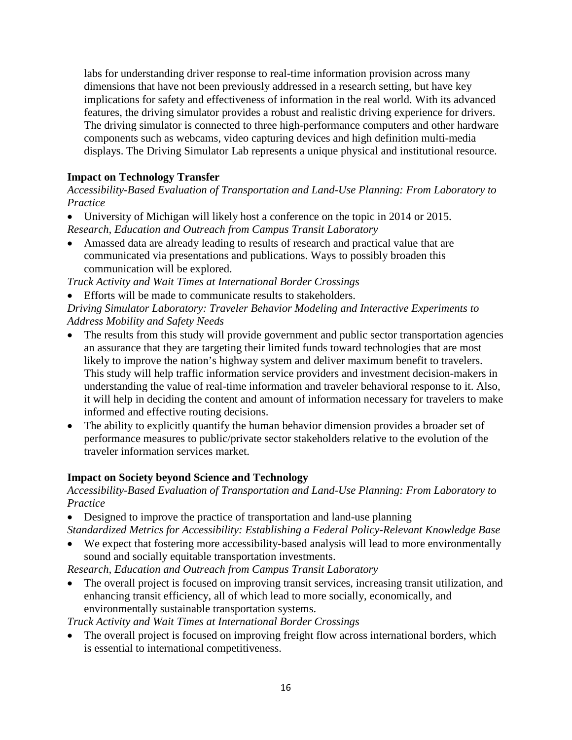labs for understanding driver response to real-time information provision across many dimensions that have not been previously addressed in a research setting, but have key implications for safety and effectiveness of information in the real world. With its advanced features, the driving simulator provides a robust and realistic driving experience for drivers. The driving simulator is connected to three high-performance computers and other hardware components such as webcams, video capturing devices and high definition multi-media displays. The Driving Simulator Lab represents a unique physical and institutional resource.

### **Impact on Technology Transfer**

*Accessibility-Based Evaluation of Transportation and Land-Use Planning: From Laboratory to Practice*

- University of Michigan will likely host a conference on the topic in 2014 or 2015.
- *Research, Education and Outreach from Campus Transit Laboratory*
- Amassed data are already leading to results of research and practical value that are communicated via presentations and publications. Ways to possibly broaden this communication will be explored.

*Truck Activity and Wait Times at International Border Crossings* 

Efforts will be made to communicate results to stakeholders.

*Driving Simulator Laboratory: Traveler Behavior Modeling and Interactive Experiments to Address Mobility and Safety Needs*

- The results from this study will provide government and public sector transportation agencies an assurance that they are targeting their limited funds toward technologies that are most likely to improve the nation's highway system and deliver maximum benefit to travelers. This study will help traffic information service providers and investment decision-makers in understanding the value of real-time information and traveler behavioral response to it. Also, it will help in deciding the content and amount of information necessary for travelers to make informed and effective routing decisions.
- The ability to explicitly quantify the human behavior dimension provides a broader set of performance measures to public/private sector stakeholders relative to the evolution of the traveler information services market.

### **Impact on Society beyond Science and Technology**

*Accessibility-Based Evaluation of Transportation and Land-Use Planning: From Laboratory to Practice* 

• Designed to improve the practice of transportation and land-use planning

*Standardized Metrics for Accessibility: Establishing a Federal Policy-Relevant Knowledge Base*

We expect that fostering more accessibility-based analysis will lead to more environmentally sound and socially equitable transportation investments.

*Research, Education and Outreach from Campus Transit Laboratory* 

• The overall project is focused on improving transit services, increasing transit utilization, and enhancing transit efficiency, all of which lead to more socially, economically, and environmentally sustainable transportation systems.

*Truck Activity and Wait Times at International Border Crossings* 

• The overall project is focused on improving freight flow across international borders, which is essential to international competitiveness.